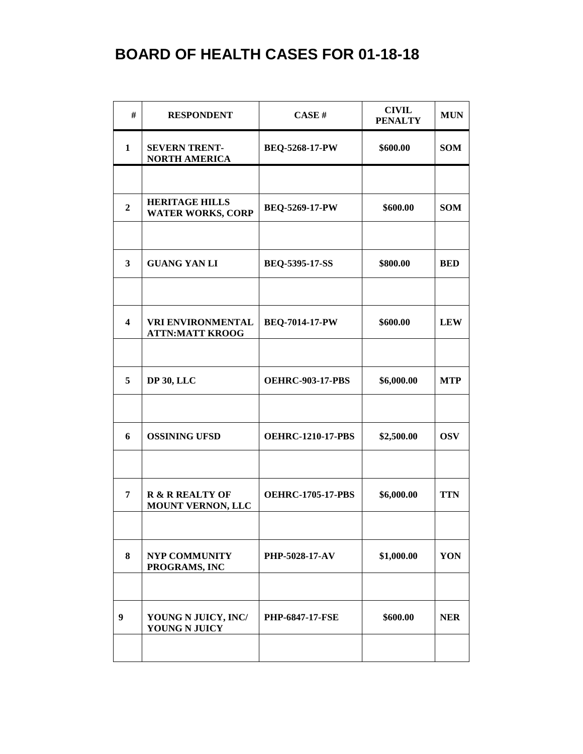| #                       | <b>RESPONDENT</b>                                  | CASE H                   | <b>CIVIL</b><br><b>PENALTY</b> | <b>MUN</b> |
|-------------------------|----------------------------------------------------|--------------------------|--------------------------------|------------|
| $\mathbf{1}$            | <b>SEVERN TRENT-</b><br><b>NORTH AMERICA</b>       | <b>BEQ-5268-17-PW</b>    | \$600.00                       | <b>SOM</b> |
|                         |                                                    |                          |                                |            |
| $\overline{2}$          | <b>HERITAGE HILLS</b><br><b>WATER WORKS, CORP</b>  | <b>BEQ-5269-17-PW</b>    | \$600.00                       | <b>SOM</b> |
|                         |                                                    |                          |                                |            |
| 3                       | <b>GUANG YAN LI</b>                                | BEQ-5395-17-SS           | \$800.00                       | <b>BED</b> |
|                         |                                                    |                          |                                |            |
| $\overline{\mathbf{4}}$ | <b>VRI ENVIRONMENTAL</b><br><b>ATTN:MATT KROOG</b> | <b>BEQ-7014-17-PW</b>    | \$600.00                       | <b>LEW</b> |
|                         |                                                    |                          |                                |            |
| 5                       | <b>DP 30, LLC</b>                                  | <b>OEHRC-903-17-PBS</b>  | \$6,000.00                     | <b>MTP</b> |
| 6                       | <b>OSSINING UFSD</b>                               | <b>OEHRC-1210-17-PBS</b> | \$2,500.00                     | <b>OSV</b> |
|                         |                                                    |                          |                                |            |
| 7                       | <b>R &amp; R REALTY OF</b><br>MOUNT VERNON, LLC    | <b>OEHRC-1705-17-PBS</b> | \$6,000.00                     | <b>TTN</b> |
|                         |                                                    |                          |                                |            |
| 8                       | <b>NYP COMMUNITY</b><br>PROGRAMS, INC              | <b>PHP-5028-17-AV</b>    | \$1,000.00                     | YON        |
|                         |                                                    |                          |                                |            |
| 9                       | YOUNG N JUICY, INC/<br>YOUNG N JUICY               | <b>PHP-6847-17-FSE</b>   | \$600.00                       | <b>NER</b> |
|                         |                                                    |                          |                                |            |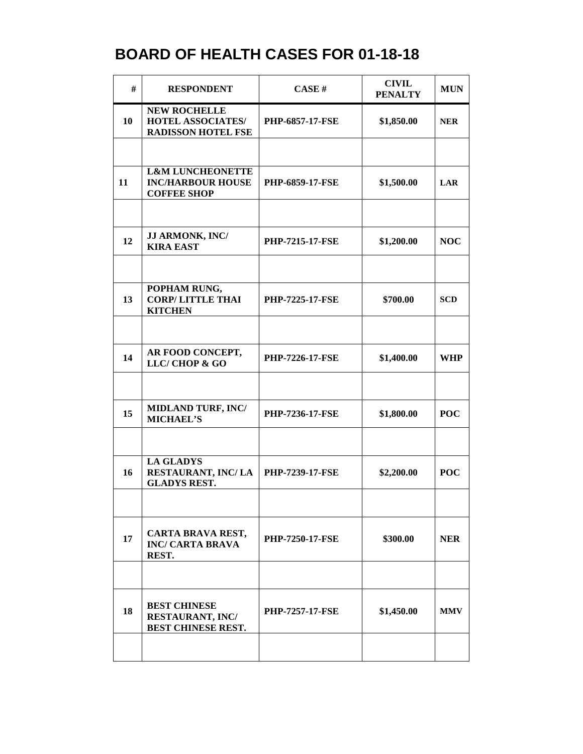| #  | <b>RESPONDENT</b>                                                             | CASE#                  | <b>CIVIL</b><br><b>PENALTY</b> | <b>MUN</b> |
|----|-------------------------------------------------------------------------------|------------------------|--------------------------------|------------|
| 10 | <b>NEW ROCHELLE</b><br><b>HOTEL ASSOCIATES/</b><br><b>RADISSON HOTEL FSE</b>  | <b>PHP-6857-17-FSE</b> | \$1,850.00                     | <b>NER</b> |
|    |                                                                               |                        |                                |            |
| 11 | <b>L&amp;M LUNCHEONETTE</b><br><b>INC/HARBOUR HOUSE</b><br><b>COFFEE SHOP</b> | <b>PHP-6859-17-FSE</b> | \$1,500.00                     | <b>LAR</b> |
|    |                                                                               |                        |                                |            |
| 12 | JJ ARMONK, INC/<br><b>KIRA EAST</b>                                           | <b>PHP-7215-17-FSE</b> | \$1,200.00                     | <b>NOC</b> |
|    |                                                                               |                        |                                |            |
| 13 | POPHAM RUNG,<br><b>CORP/LITTLE THAI</b><br><b>KITCHEN</b>                     | <b>PHP-7225-17-FSE</b> | \$700.00                       | <b>SCD</b> |
|    |                                                                               |                        |                                |            |
| 14 | AR FOOD CONCEPT,<br>LLC/CHOP & GO                                             | <b>PHP-7226-17-FSE</b> | \$1,400.00                     | <b>WHP</b> |
|    |                                                                               |                        |                                |            |
| 15 | <b>MIDLAND TURF, INC/</b><br><b>MICHAEL'S</b>                                 | <b>PHP-7236-17-FSE</b> | \$1,800.00                     | <b>POC</b> |
|    |                                                                               |                        |                                |            |
| 16 | <b>LA GLADYS</b><br>RESTAURANT, INC/LA<br><b>GLADYS REST.</b>                 | <b>PHP-7239-17-FSE</b> | \$2,200.00                     | <b>POC</b> |
|    |                                                                               |                        |                                |            |
| 17 | CARTA BRAVA REST,<br><b>INC/ CARTA BRAVA</b><br>REST.                         | <b>PHP-7250-17-FSE</b> | \$300.00                       | <b>NER</b> |
|    |                                                                               |                        |                                |            |
| 18 | <b>BEST CHINESE</b><br>RESTAURANT, INC/<br>BEST CHINESE REST.                 | <b>PHP-7257-17-FSE</b> | \$1,450.00                     | <b>MMV</b> |
|    |                                                                               |                        |                                |            |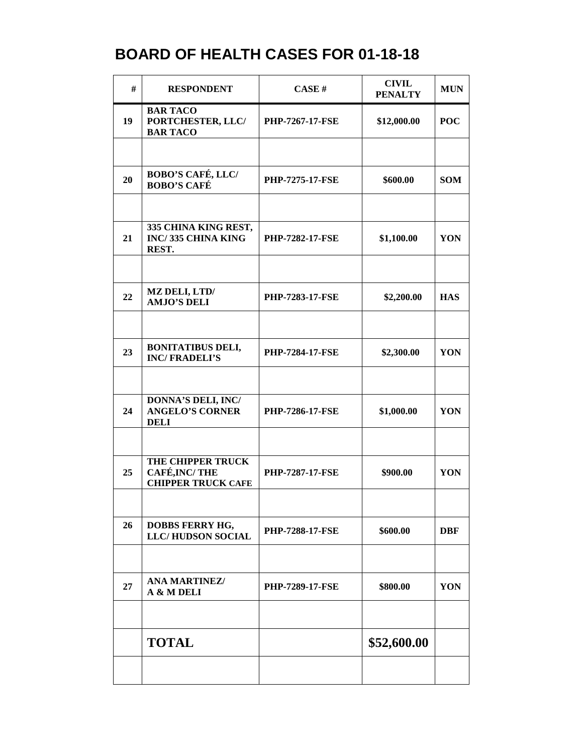| #  | <b>RESPONDENT</b>                                               | CASE#                  | <b>CIVIL</b><br><b>PENALTY</b> | <b>MUN</b> |
|----|-----------------------------------------------------------------|------------------------|--------------------------------|------------|
| 19 | <b>BAR TACO</b><br>PORTCHESTER, LLC/<br><b>BAR TACO</b>         | <b>PHP-7267-17-FSE</b> | \$12,000.00                    | <b>POC</b> |
|    |                                                                 |                        |                                |            |
| 20 | <b>BOBO'S CAFÉ, LLC/</b><br><b>BOBO'S CAFÉ</b>                  | <b>PHP-7275-17-FSE</b> | \$600.00                       | <b>SOM</b> |
|    |                                                                 |                        |                                |            |
| 21 | 335 CHINA KING REST,<br>INC/335 CHINA KING<br>REST.             | <b>PHP-7282-17-FSE</b> | \$1,100.00                     | YON        |
|    |                                                                 |                        |                                |            |
| 22 | <b>MZ DELI, LTD/</b><br><b>AMJO'S DELI</b>                      | <b>PHP-7283-17-FSE</b> | \$2,200.00                     | <b>HAS</b> |
|    |                                                                 |                        |                                |            |
| 23 | <b>BONITATIBUS DELI,</b><br><b>INC/FRADELI'S</b>                | <b>PHP-7284-17-FSE</b> | \$2,300.00                     | YON        |
|    |                                                                 |                        |                                |            |
| 24 | DONNA'S DELI, INC/<br><b>ANGELO'S CORNER</b><br><b>DELI</b>     | <b>PHP-7286-17-FSE</b> | \$1,000.00                     | YON        |
|    |                                                                 |                        |                                |            |
| 25 | THE CHIPPER TRUCK<br>CAFÉ, INC/THE<br><b>CHIPPER TRUCK CAFE</b> | <b>PHP-7287-17-FSE</b> | \$900.00                       | YON        |
|    |                                                                 |                        |                                |            |
| 26 | <b>DOBBS FERRY HG,</b><br><b>LLC/HUDSON SOCIAL</b>              | <b>PHP-7288-17-FSE</b> | \$600.00                       | <b>DBF</b> |
|    |                                                                 |                        |                                |            |
| 27 | <b>ANA MARTINEZ/</b><br>A & M DELI                              | <b>PHP-7289-17-FSE</b> | \$800.00                       | YON        |
|    |                                                                 |                        |                                |            |
|    | <b>TOTAL</b>                                                    |                        | \$52,600.00                    |            |
|    |                                                                 |                        |                                |            |